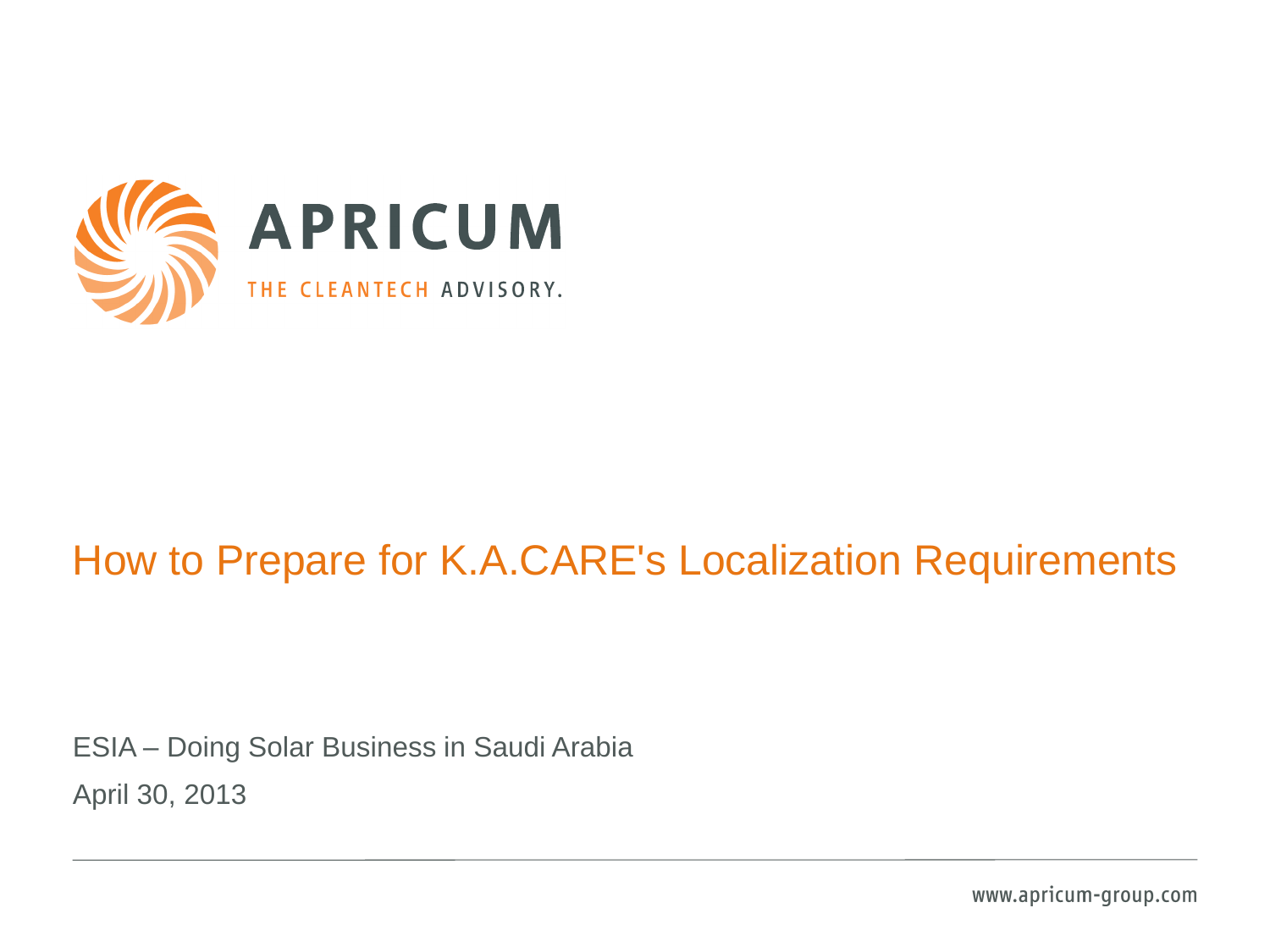

#### How to Prepare for K.A.CARE's Localization Requirements

ESIA – Doing Solar Business in Saudi Arabia April 30, 2013

www.apricum-group.com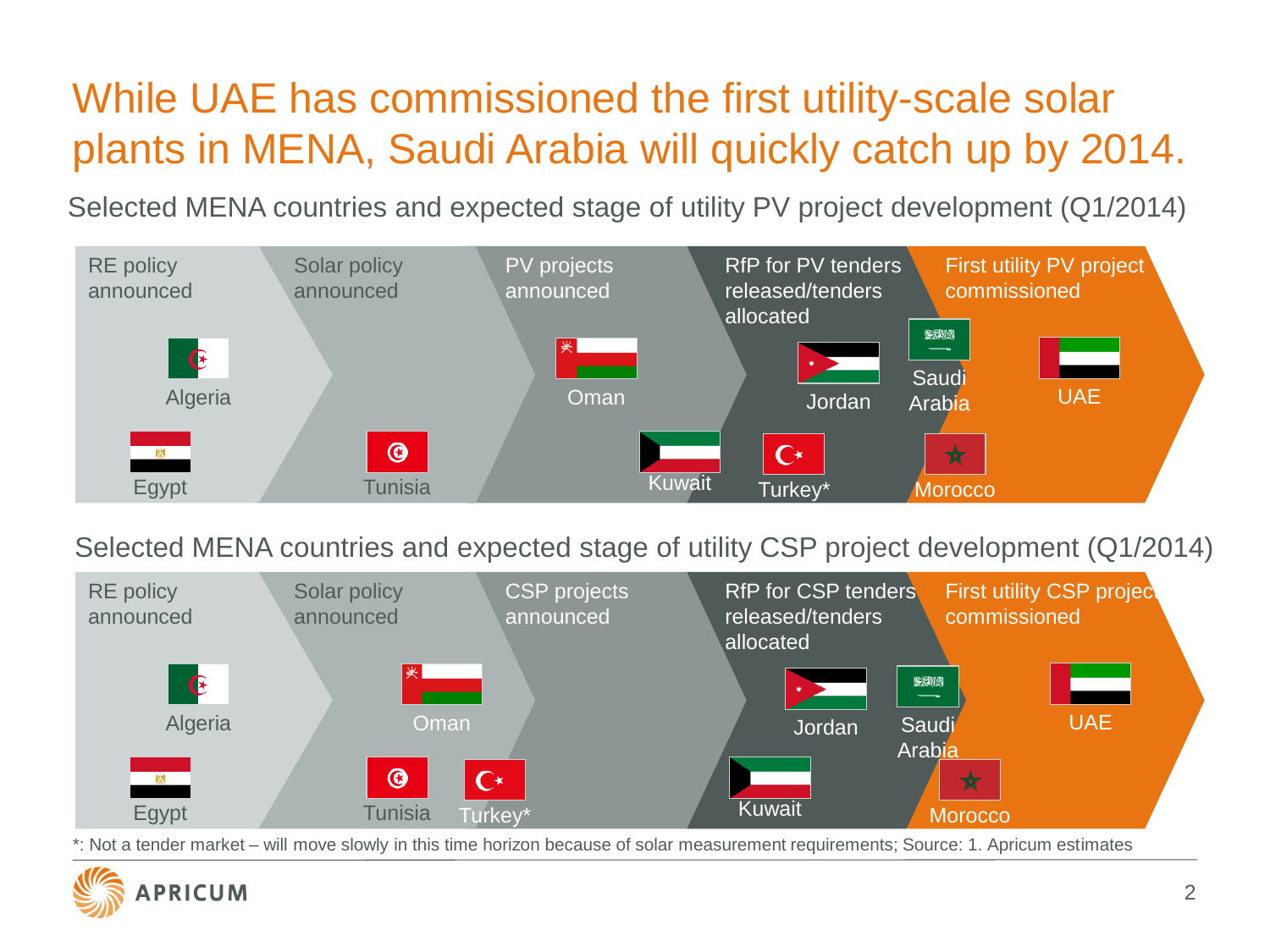# While UAE has commissioned the first utility-scale solar plants in MENA, Saudi Arabia will quickly catch up by 2014.

Selected MENA countries and expected stage of utility PV project development (Q1/2014)



Selected MENA countries and expected stage of utility CSP project development (Q1/2014)



\*: Not a tender market – will move slowly in this time horizon because of solar measurement requirements; Source: 1. Apricum estimates

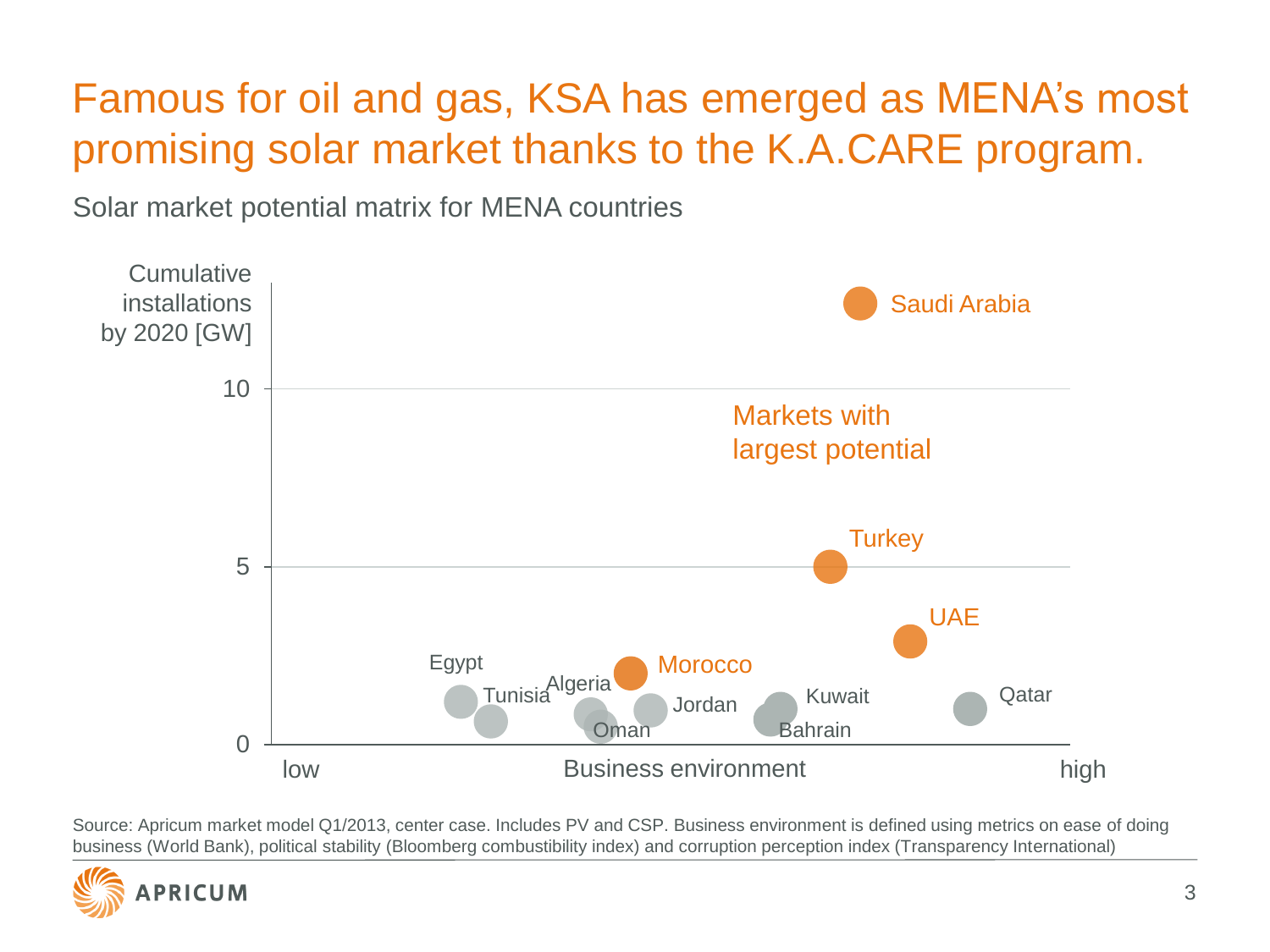## Famous for oil and gas, KSA has emerged as MENA's most promising solar market thanks to the K.A.CARE program.

Solar market potential matrix for MENA countries



Source: Apricum market model Q1/2013, center case. Includes PV and CSP. Business environment is defined using metrics on ease of doing business (World Bank), political stability (Bloomberg combustibility index) and corruption perception index (Transparency International)

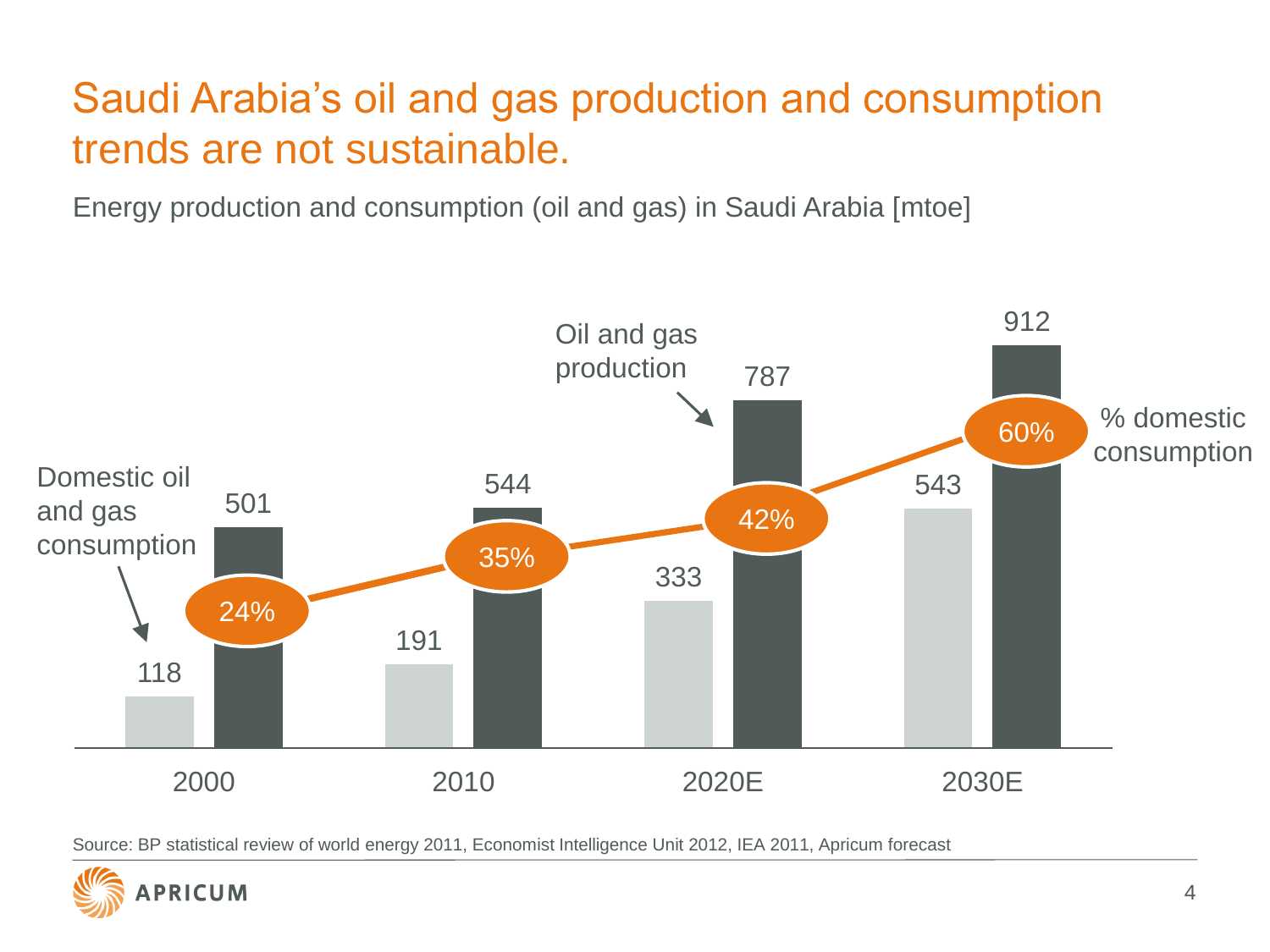## Saudi Arabia's oil and gas production and consumption trends are not sustainable.

Energy production and consumption (oil and gas) in Saudi Arabia [mtoe]



Source: BP statistical review of world energy 2011, Economist Intelligence Unit 2012, IEA 2011, Apricum forecast

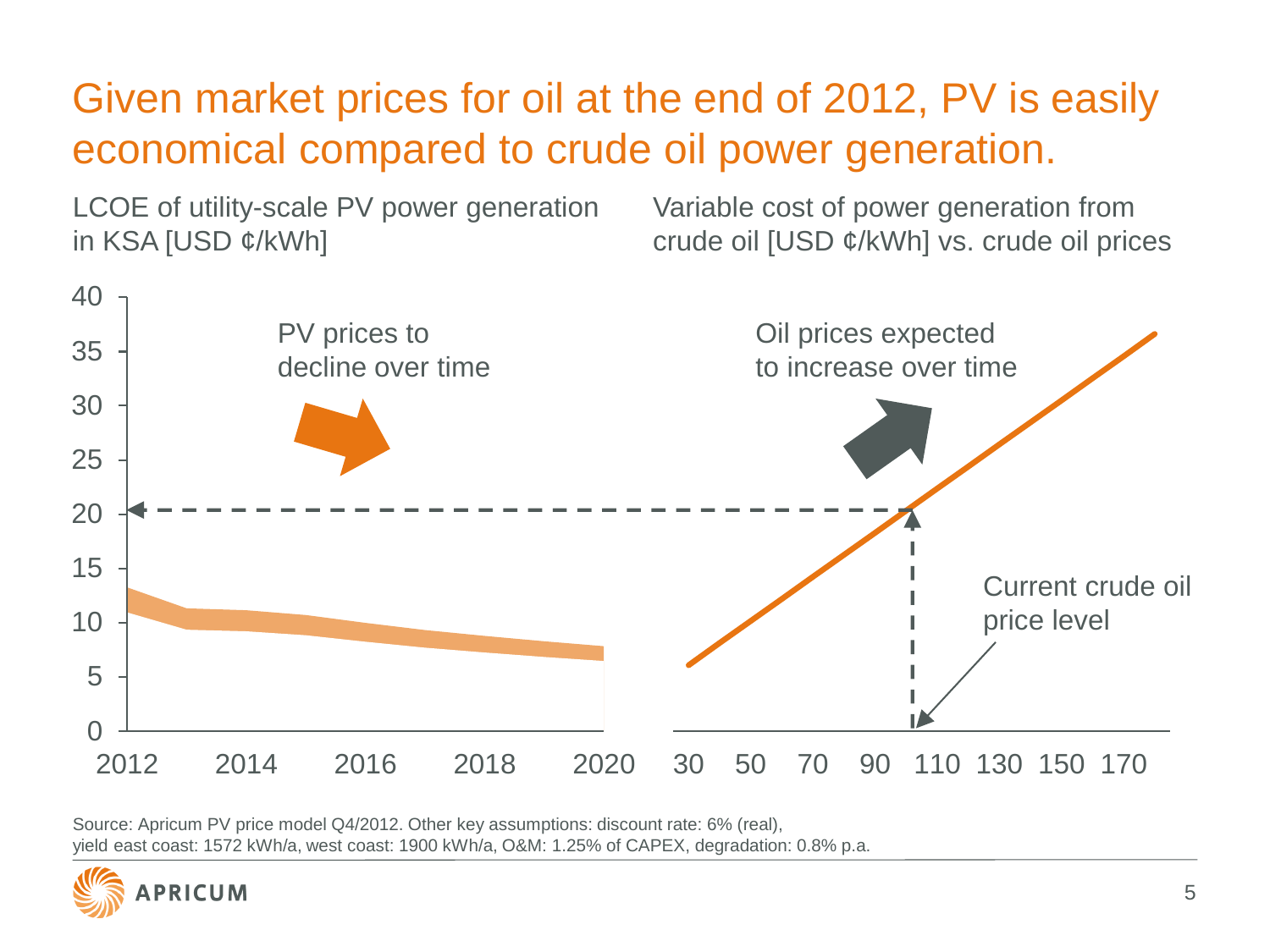## Given market prices for oil at the end of 2012, PV is easily economical compared to crude oil power generation.

LCOE of utility-scale PV power generation in KSA [USD  $\phi$ /kWh]

Variable cost of power generation from crude oil [USD ¢/kWh] vs. crude oil prices



Source: Apricum PV price model Q4/2012. Other key assumptions: discount rate: 6% (real), yield east coast: 1572 kWh/a, west coast: 1900 kWh/a, O&M: 1.25% of CAPEX, degradation: 0.8% p.a.

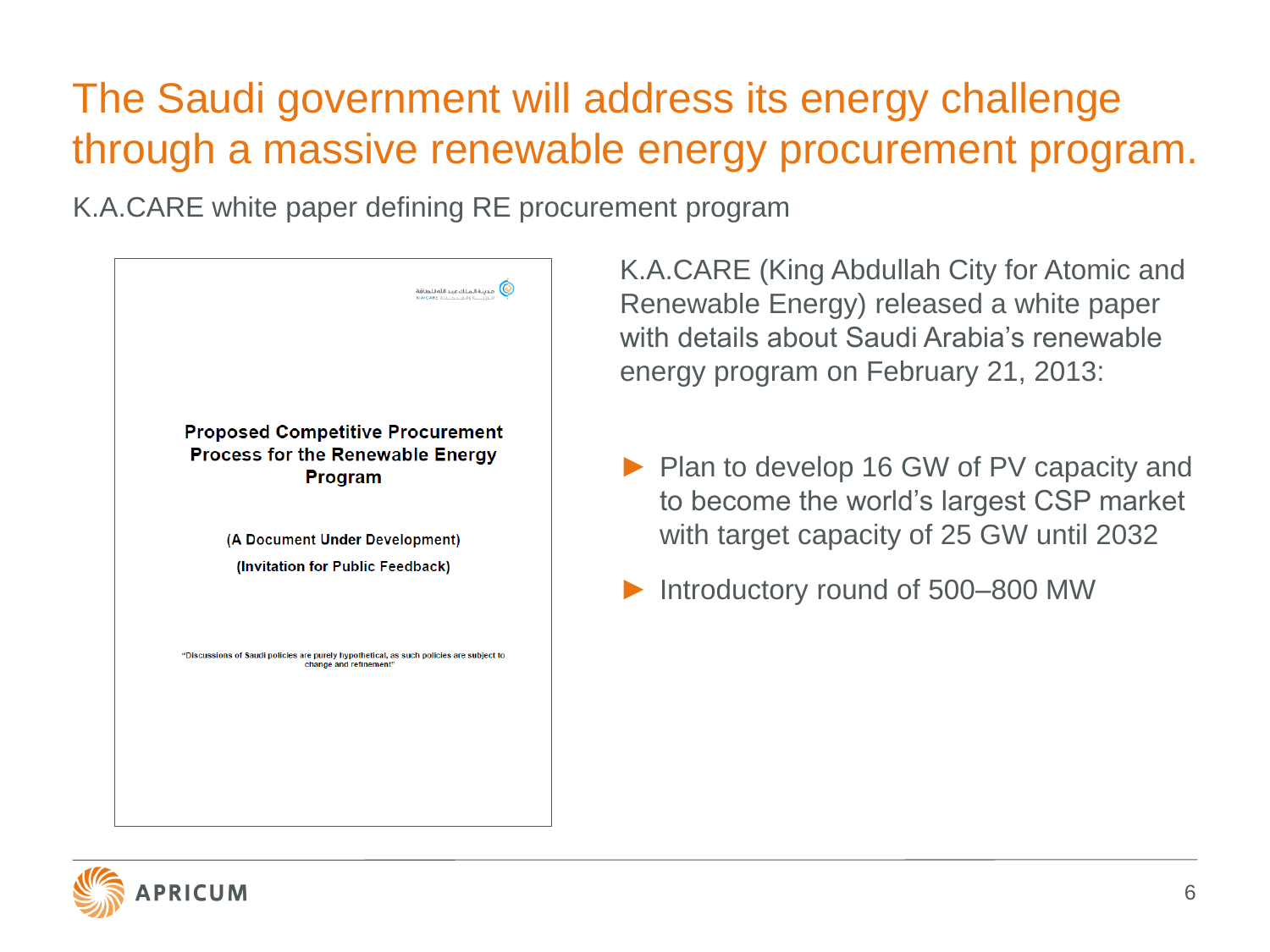## The Saudi government will address its energy challenge through a massive renewable energy procurement program.

K.A.CARE white paper defining RE procurement program



K.A.CARE (King Abdullah City for Atomic and Renewable Energy) released a white paper with details about Saudi Arabia's renewable energy program on February 21, 2013:

- ► Plan to develop 16 GW of PV capacity and to become the world's largest CSP market with target capacity of 25 GW until 2032
- Introductory round of 500–800 MW

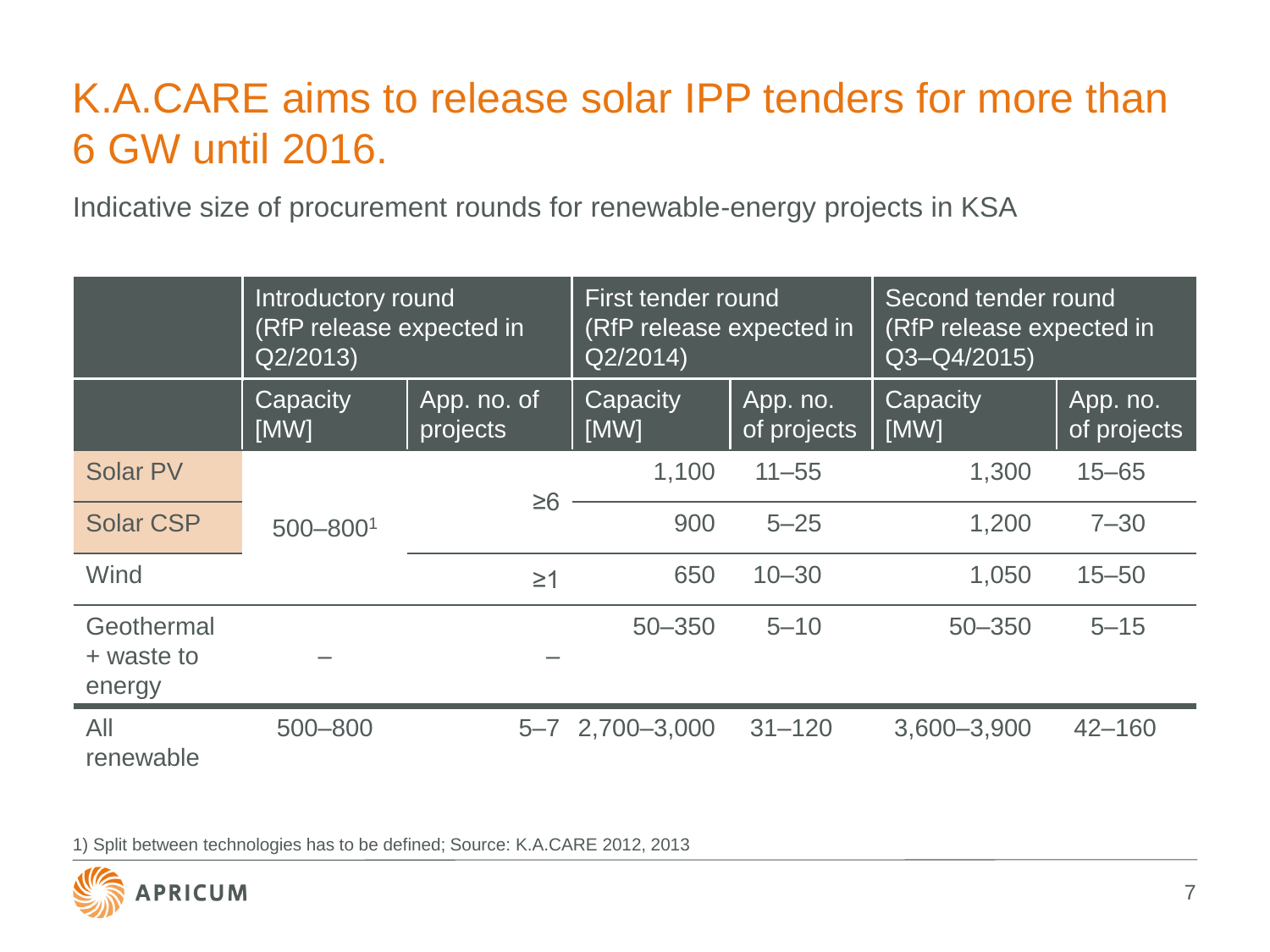## K.A.CARE aims to release solar IPP tenders for more than 6 GW until 2016.

Indicative size of procurement rounds for renewable-energy projects in KSA

|                                    | Introductory round<br>(RfP release expected in<br>Q2/2013 |                         | First tender round<br>(RfP release expected in<br>Q2/2014 |                         | Second tender round<br>(RfP release expected in<br>Q3-Q4/2015) |                         |
|------------------------------------|-----------------------------------------------------------|-------------------------|-----------------------------------------------------------|-------------------------|----------------------------------------------------------------|-------------------------|
|                                    | Capacity<br>[MW]                                          | App. no. of<br>projects | Capacity<br>[MW]                                          | App. no.<br>of projects | Capacity<br>[MW]                                               | App. no.<br>of projects |
| <b>Solar PV</b>                    |                                                           |                         | 1,100                                                     | $11 - 55$               | 1,300                                                          | $15 - 65$               |
| <b>Solar CSP</b>                   | $500 - 8001$                                              | $\geq 6$                | 900                                                       | $5 - 25$                | 1,200                                                          | $7 - 30$                |
| Wind                               |                                                           | $\geq$ 1                | 650                                                       | $10 - 30$               | 1,050                                                          | $15 - 50$               |
| Geothermal<br>+ waste to<br>energy |                                                           |                         | $50 - 350$                                                | $5 - 10$                | $50 - 350$                                                     | $5 - 15$                |
| All<br>renewable                   | 500-800                                                   |                         | 5-7 2,700-3,000                                           | $31 - 120$              | 3,600-3,900                                                    | $42 - 160$              |

1) Split between technologies has to be defined; Source: K.A.CARE 2012, 2013

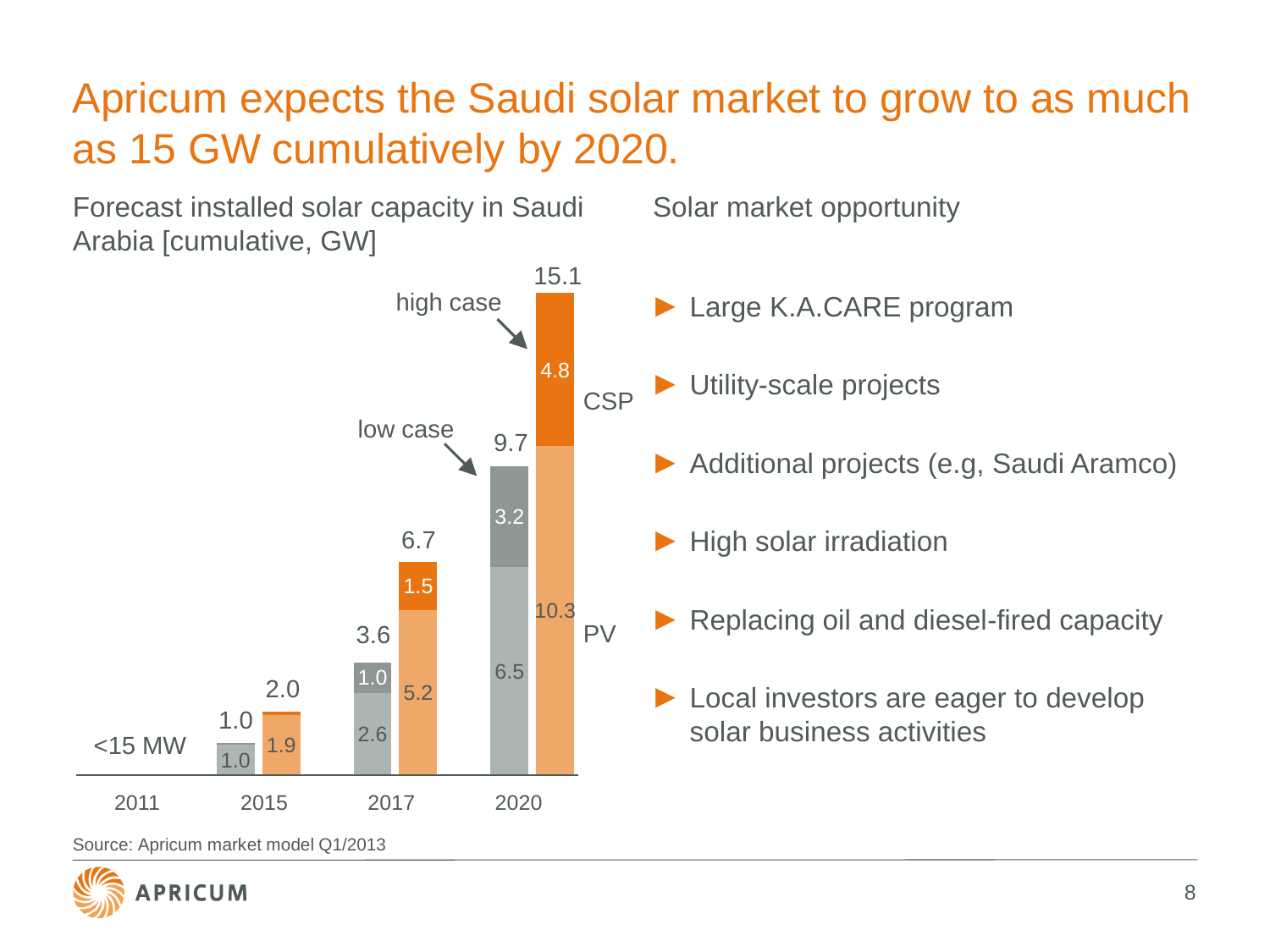#### Apricum expects the Saudi solar market to grow to as much as 15 GW cumulatively by 2020.

Forecast installed solar capacity in Saudi Arabia [cumulative, GW]

Solar market opportunity

 $\frac{1.0}{1.0}$  1.9 2.6 5.2 6.5 10.3 1.0 1.5 3.2 4.8 <15 MW Large K.A.CARE program Utility-scale projects ► Additional projects (e.g, Saudi Aramco) High solar irradiation Replacing oil and diesel-fired capacity Local investors are eager to develop solar business activities PV **CSP** 15.1 9.7 6.7 3.6 2.0 1.0 2011 2015 2017 2020 low case high case

Source: Apricum market model Q1/2013

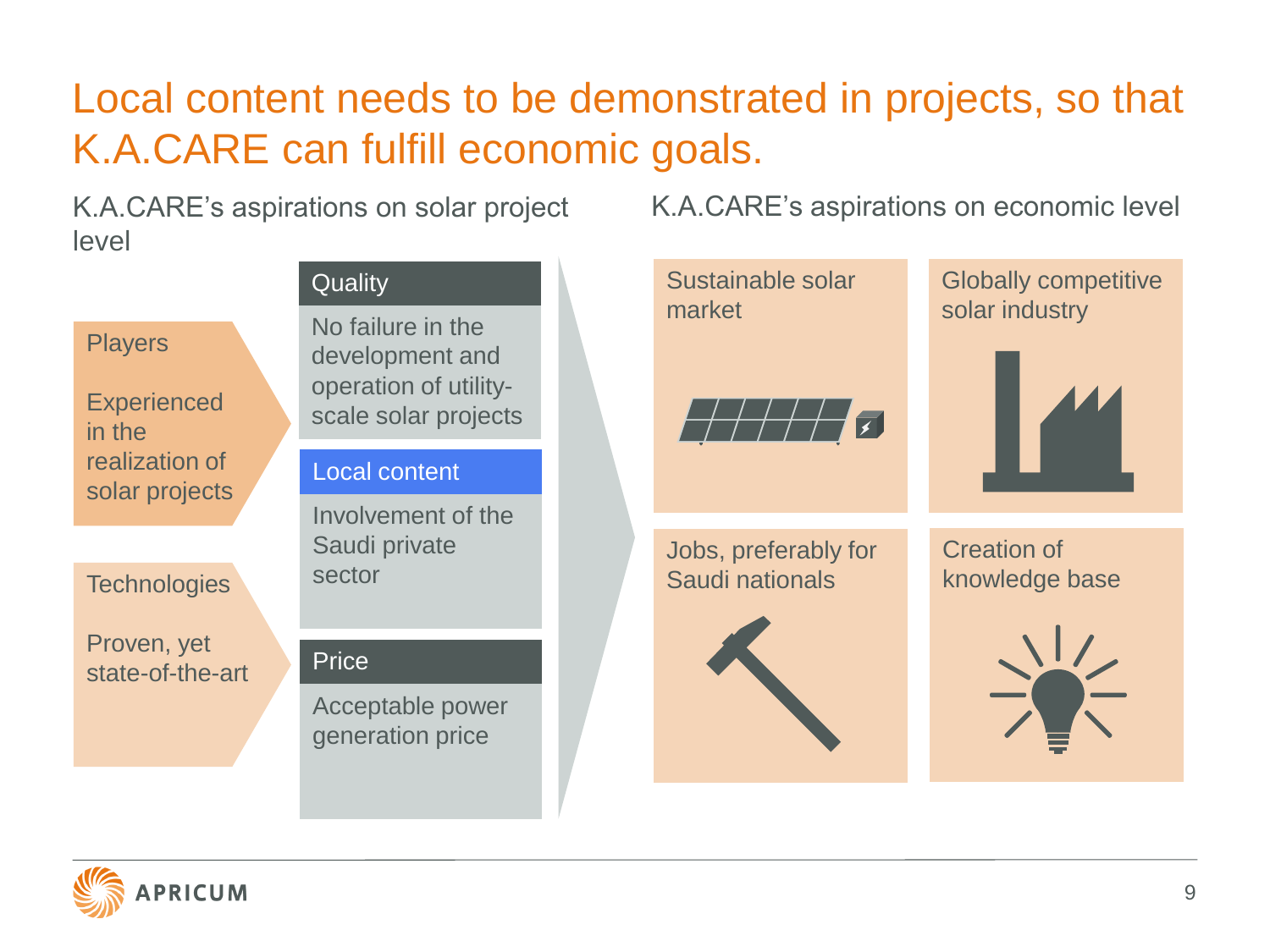## Local content needs to be demonstrated in projects, so that K.A.CARE can fulfill economic goals.

K.A.CARE's aspirations on economic level

K.A.CARE's aspirations on solar project level



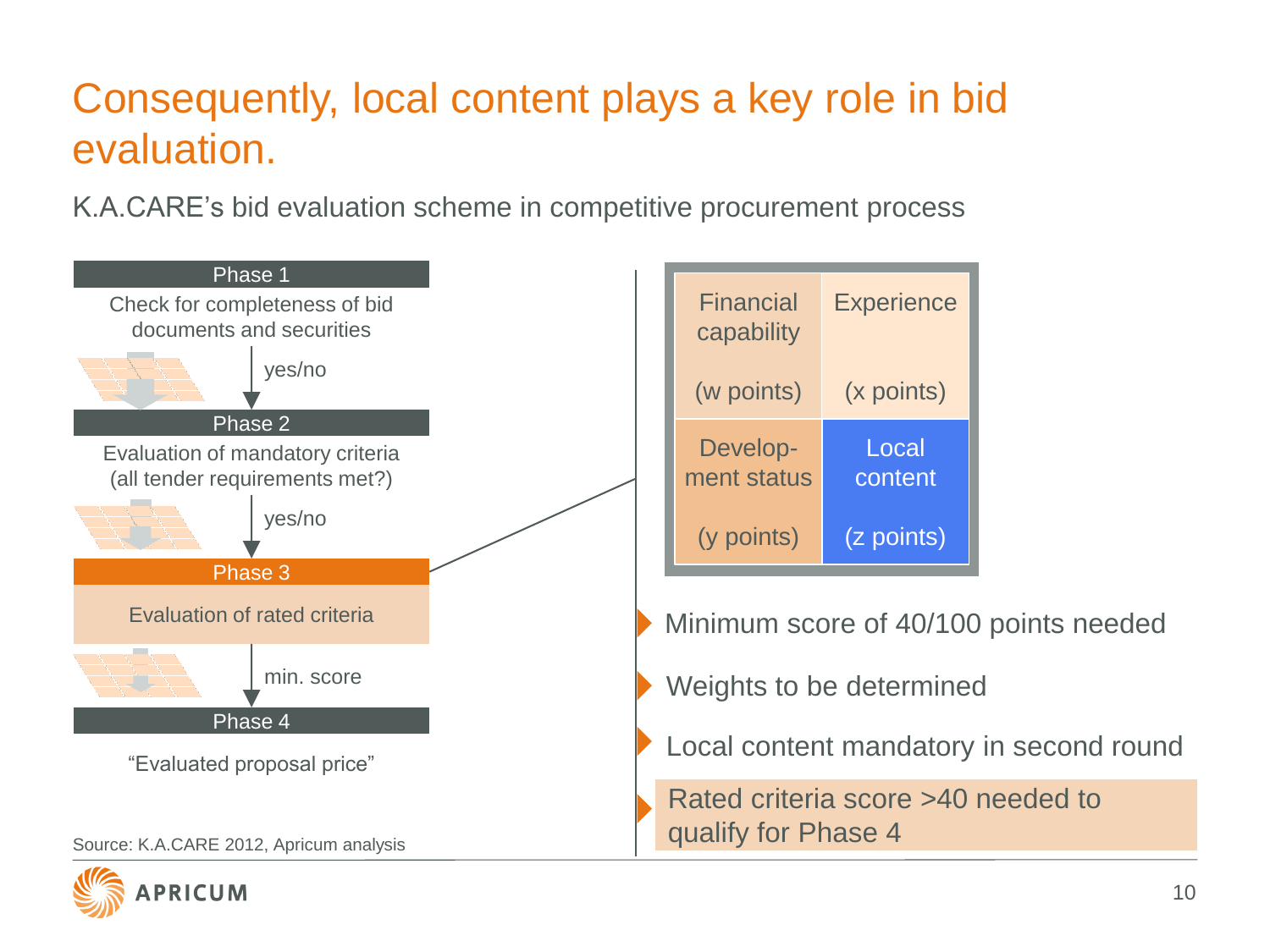# Consequently, local content plays a key role in bid evaluation.

K.A.CARE's bid evaluation scheme in competitive procurement process







Minimum score of 40/100 points needed

Weights to be determined

Local content mandatory in second round

Rated criteria score >40 needed to qualify for Phase 4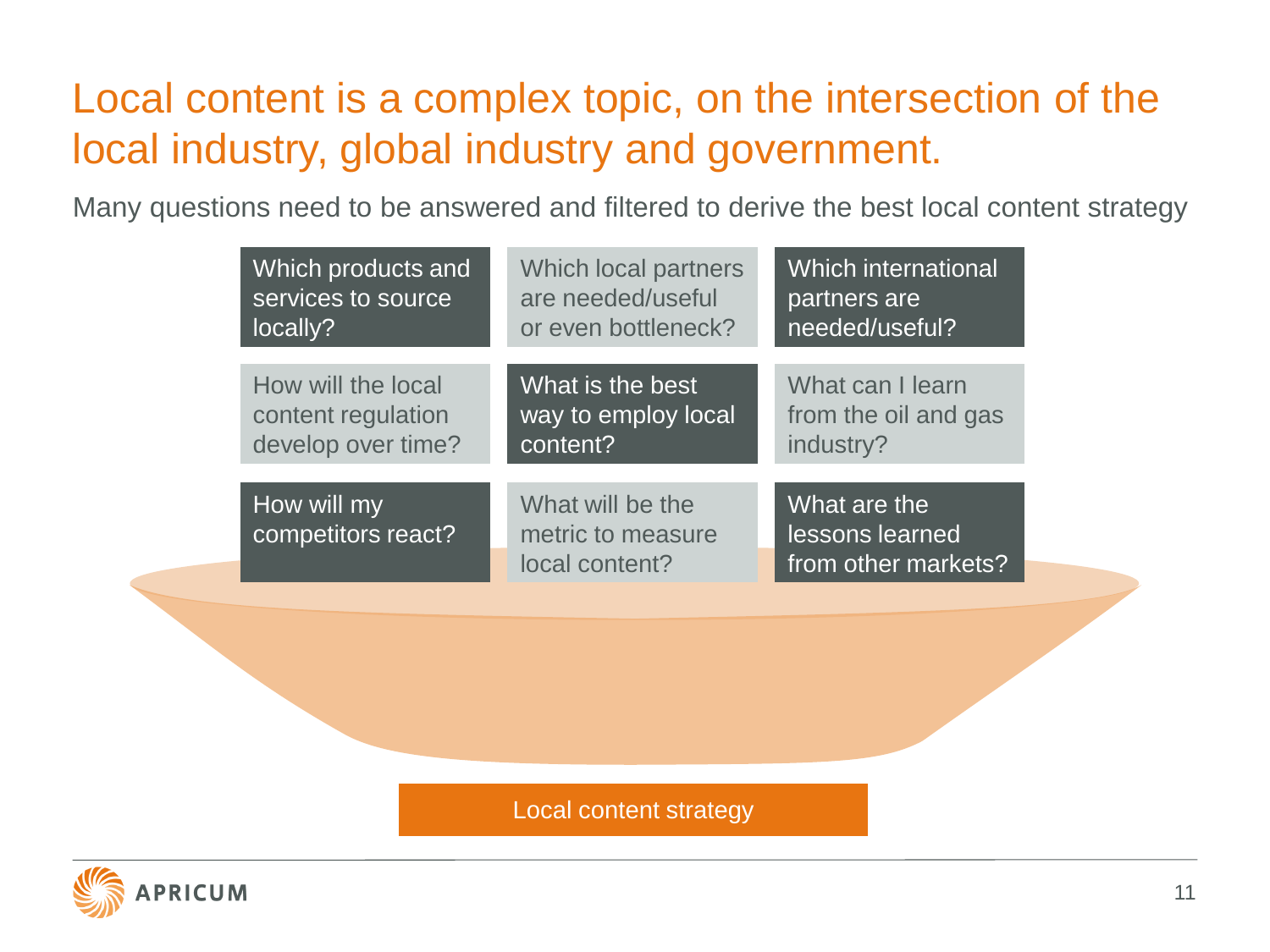#### Local content is a complex topic, on the intersection of the local industry, global industry and government.

Many questions need to be answered and filtered to derive the best local content strategy

| Which products and                | Which local partners                                    | <b>Which international</b>                             |
|-----------------------------------|---------------------------------------------------------|--------------------------------------------------------|
| services to source                | are needed/useful                                       | partners are                                           |
| locally?                          | or even bottleneck?                                     | needed/useful?                                         |
| How will the local                | What is the best                                        | What can I learn                                       |
| content regulation                | way to employ local                                     | from the oil and gas                                   |
| develop over time?                | content?                                                | industry?                                              |
| How will my<br>competitors react? | What will be the<br>metric to measure<br>local content? | What are the<br>lessons learned<br>from other markets? |

Local content strategy

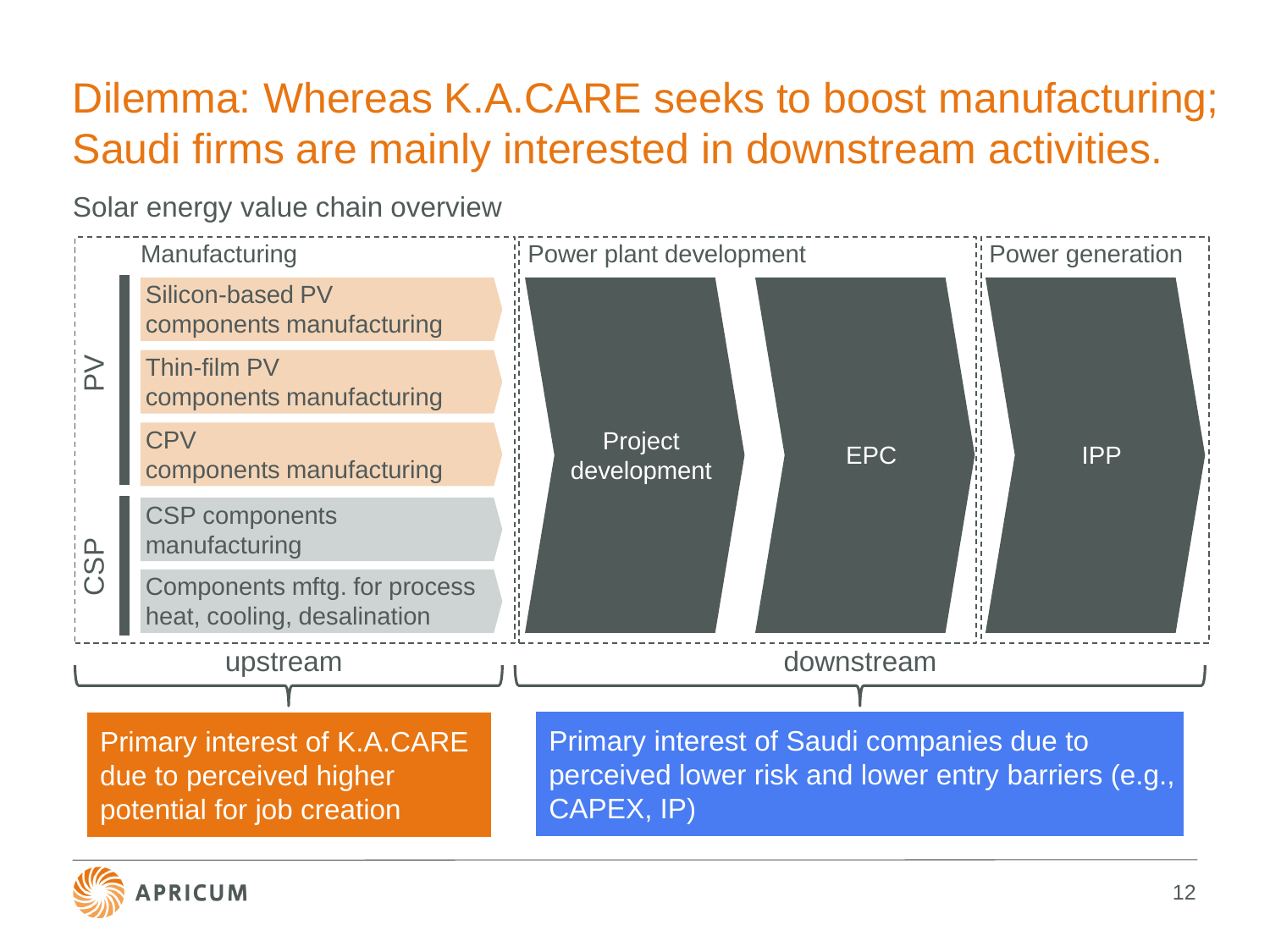## Dilemma: Whereas K.A.CARE seeks to boost manufacturing; Saudi firms are mainly interested in downstream activities.

Solar energy value chain overview



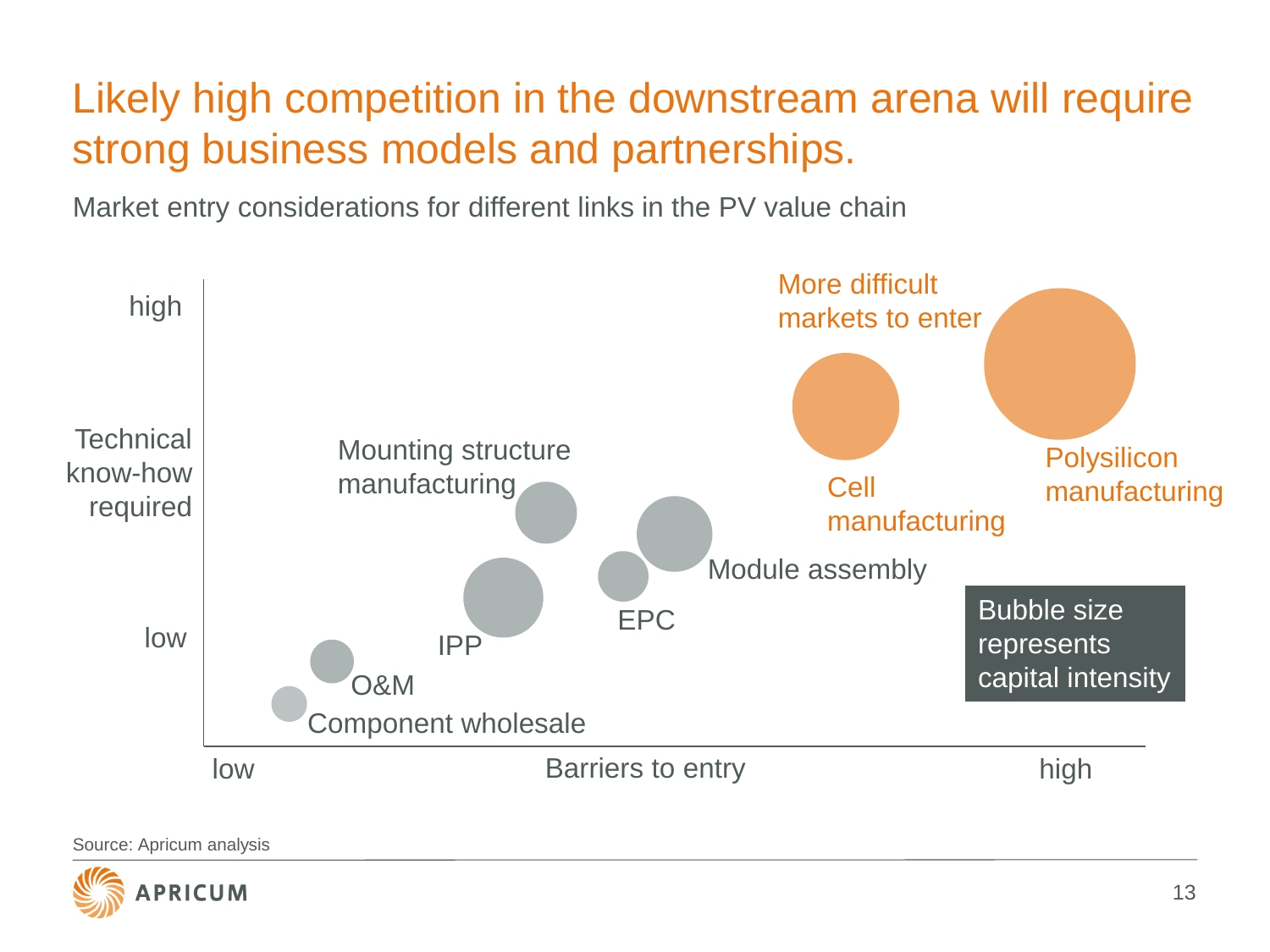## Likely high competition in the downstream arena will require strong business models and partnerships.

Market entry considerations for different links in the PV value chain



Source: Apricum analysis

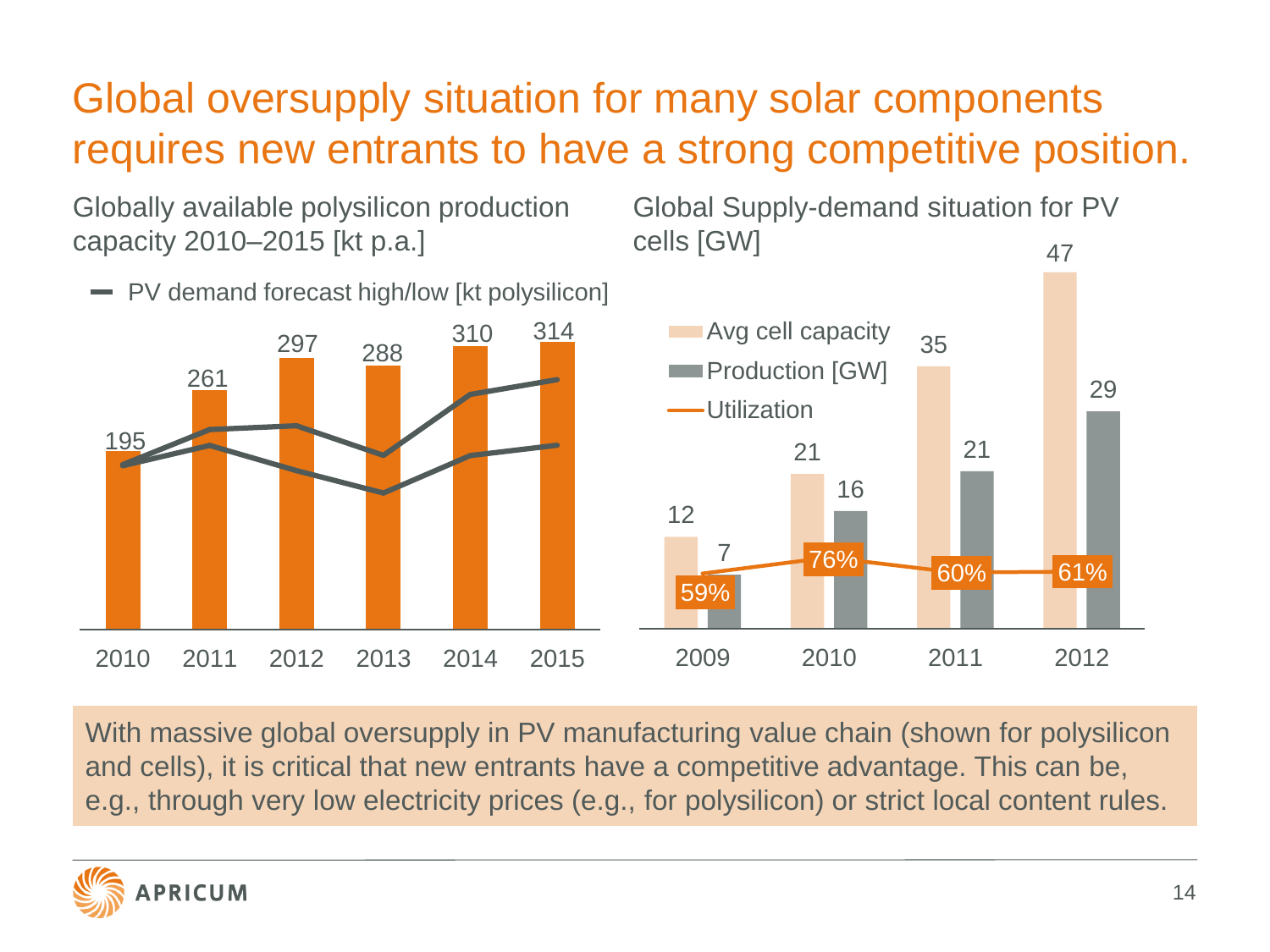## Global oversupply situation for many solar components requires new entrants to have a strong competitive position.

Globally available polysilicon production capacity 2010–2015 [kt p.a.]

PV demand forecast high/low [kt polysilicon]

Global Supply-demand situation for PV cells [GW] 47



With massive global oversupply in PV manufacturing value chain (shown for polysilicon and cells), it is critical that new entrants have a competitive advantage. This can be, e.g., through very low electricity prices (e.g., for polysilicon) or strict local content rules.

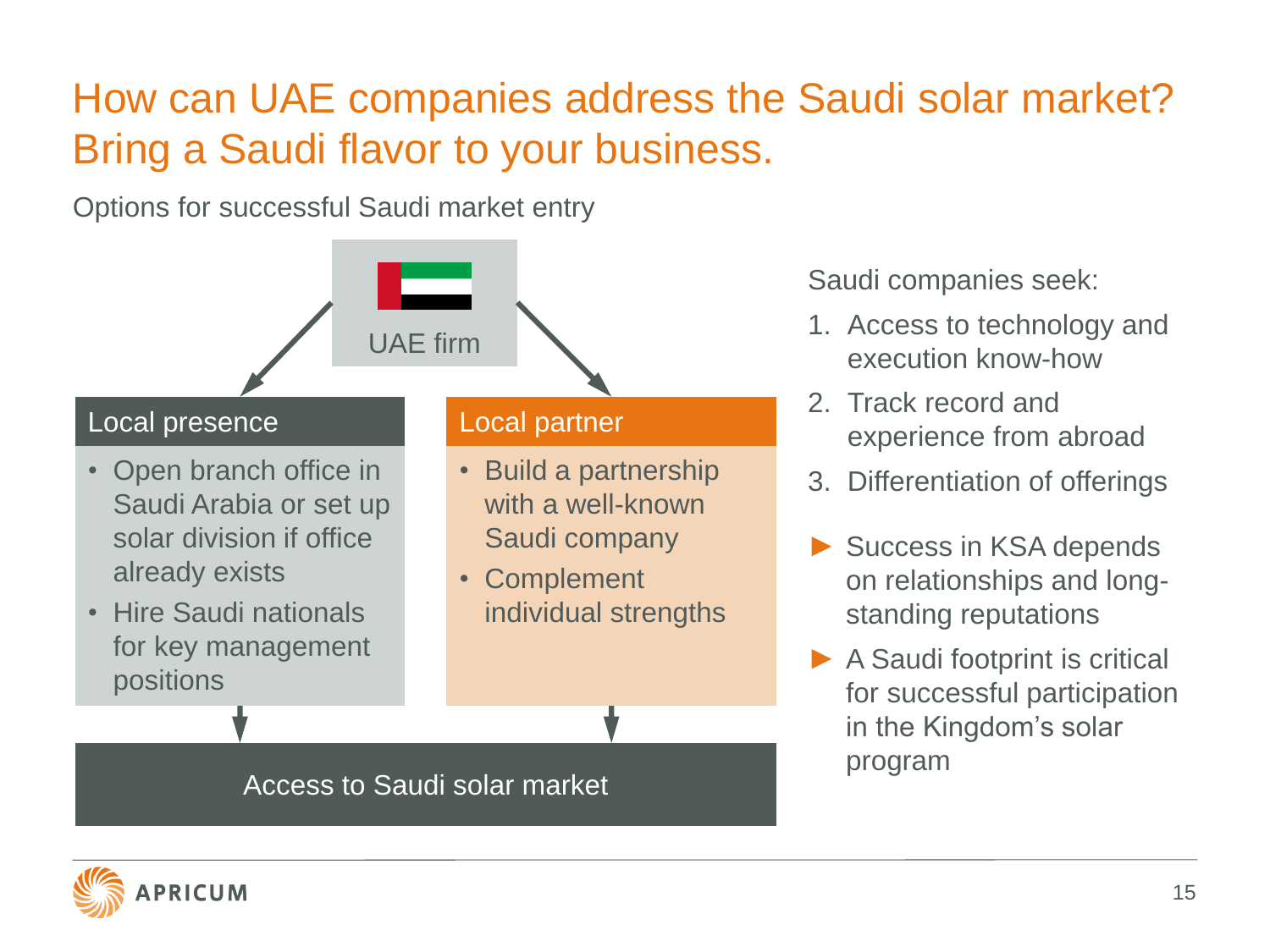## How can UAE companies address the Saudi solar market? Bring a Saudi flavor to your business.

Options for successful Saudi market entry



Saudi companies seek:

- 1. Access to technology and execution know-how
- 2. Track record and experience from abroad
- 3. Differentiation of offerings
- Success in KSA depends on relationships and longstanding reputations
- ▶ A Saudi footprint is critical for successful participation in the Kingdom's solar program

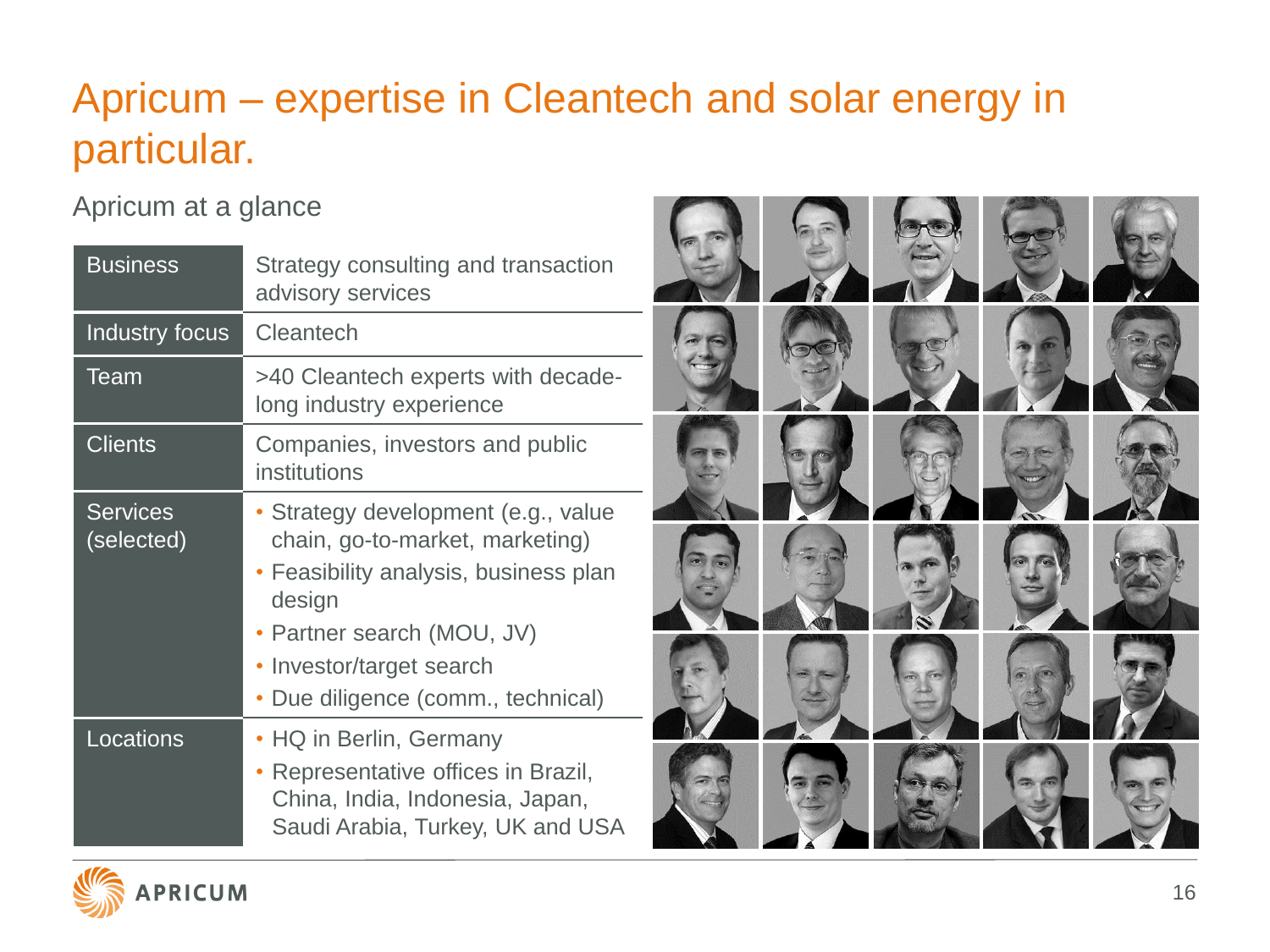## Apricum – expertise in Cleantech and solar energy in particular.

#### Apricum at a glance

| <b>Business</b>               | Strategy consulting and transaction<br>advisory services                                                                                                                                                              |  |  |  |
|-------------------------------|-----------------------------------------------------------------------------------------------------------------------------------------------------------------------------------------------------------------------|--|--|--|
| Industry focus                | Cleantech                                                                                                                                                                                                             |  |  |  |
| Team                          | >40 Cleantech experts with decade-<br>long industry experience                                                                                                                                                        |  |  |  |
| <b>Clients</b>                | Companies, investors and public<br>institutions                                                                                                                                                                       |  |  |  |
| <b>Services</b><br>(selected) | • Strategy development (e.g., value<br>chain, go-to-market, marketing)<br>• Feasibility analysis, business plan<br>design<br>• Partner search (MOU, JV)<br>Investor/target search<br>Due diligence (comm., technical) |  |  |  |
| Locations                     | • HQ in Berlin, Germany<br>Representative offices in Brazil,<br>China, India, Indonesia, Japan,<br>Saudi Arabia, Turkey, UK and USA                                                                                   |  |  |  |



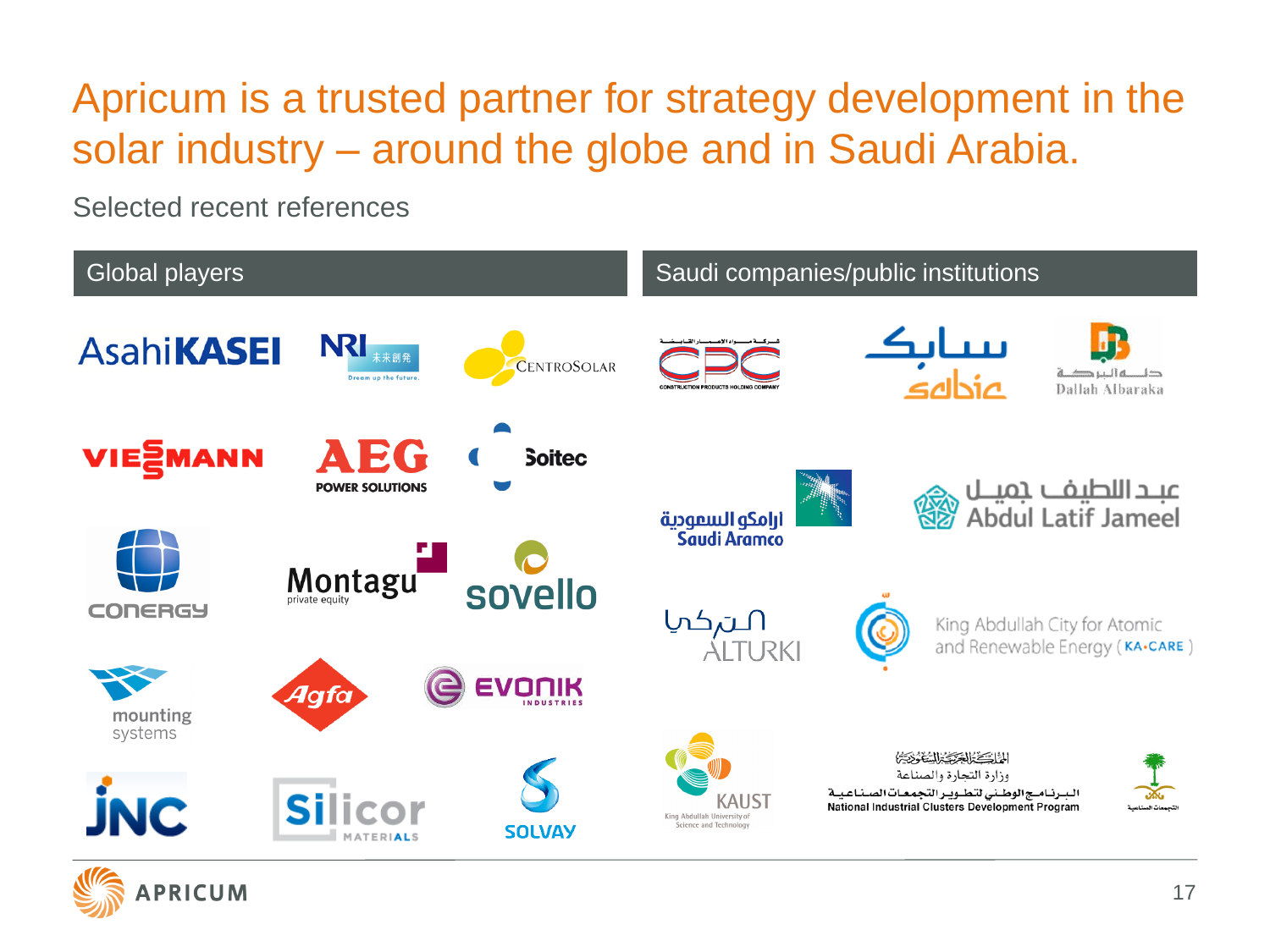## Apricum is a trusted partner for strategy development in the solar industry – around the globe and in Saudi Arabia.

Selected recent references